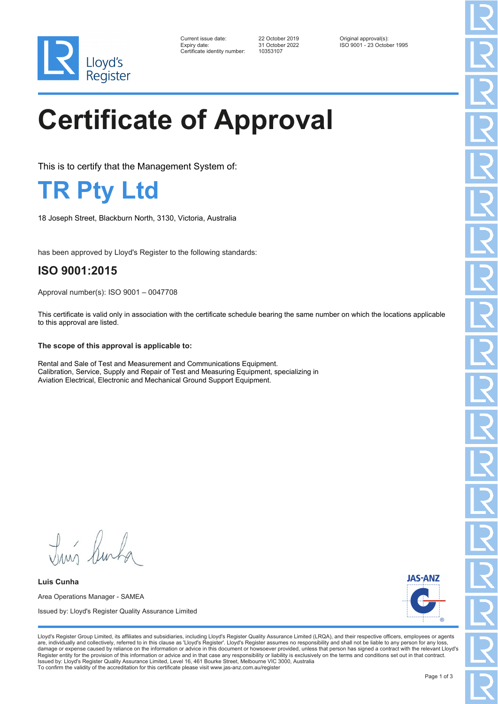

| Current issue date:          | 22 October 2019 | Original approval(s):      |
|------------------------------|-----------------|----------------------------|
| Expiry date:                 | 31 October 2022 | ISO 9001 - 23 October 1995 |
| Certificate identity number: | 10353107        |                            |

# **Certificate of Approval**

This is to certify that the Management System of:

**TR Pty Ltd**

18 Joseph Street, Blackburn North, 3130, Victoria, Australia

has been approved by Lloyd's Register to the following standards:

### **ISO 9001:2015**

Approval number(s): ISO 9001 – 0047708

This certificate is valid only in association with the certificate schedule bearing the same number on which the locations applicable to this approval are listed.

#### **The scope of this approval is applicable to:**

Rental and Sale of Test and Measurement and Communications Equipment. Calibration, Service, Supply and Repair of Test and Measuring Equipment, specializing in Aviation Electrical, Electronic and Mechanical Ground Support Equipment.

Luis Burba

**Luis Cunha** Area Operations Manager - SAMEA Issued by: Lloyd's Register Quality Assurance Limited



Lloyd's Register Group Limited, its affiliates and subsidiaries, including Lloyd's Register Quality Assurance Limited (LRQA), and their respective officers, employees or agents are, individually and collectively, referred to in this clause as 'Lloyd's Register'. Lloyd's Register assumes no responsibility and shall not be liable to any person for any los damage or expense caused by reliance on the information or advice in this document or howsoever provided, unless that person has signed a contract with the relevant Lloyd's<br>Register entity for the provision of this informa Issued by: Lloyd's Register Quality Assurance Limited, Level 16, 461 Bourke Street, Melbourne VIC 3000, Australia To confirm the validity of the accreditation for this certificate please visit www.jas-anz.com.au/register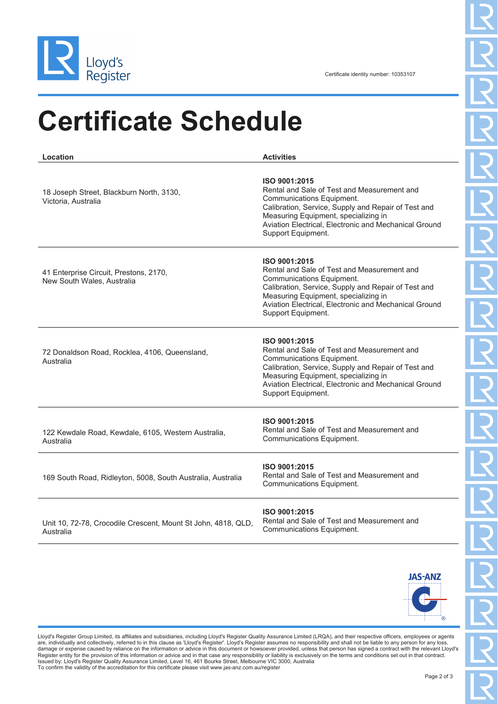

## **Certificate Schedule**

**Location Activities** 18 Joseph Street, Blackburn North, 3130, Victoria, Australia **ISO 9001:2015** Rental and Sale of Test and Measurement and Communications Equipment. Calibration, Service, Supply and Repair of Test and Measuring Equipment, specializing in Aviation Electrical, Electronic and Mechanical Ground Support Equipment. 41 Enterprise Circuit, Prestons, 2170, New South Wales, Australia **ISO 9001:2015** Rental and Sale of Test and Measurement and Communications Equipment. Calibration, Service, Supply and Repair of Test and Measuring Equipment, specializing in Aviation Electrical, Electronic and Mechanical Ground Support Equipment. 72 Donaldson Road, Rocklea, 4106, Queensland, Australia **ISO 9001:2015** Rental and Sale of Test and Measurement and Communications Equipment. Calibration, Service, Supply and Repair of Test and Measuring Equipment, specializing in Aviation Electrical, Electronic and Mechanical Ground Support Equipment. 122 Kewdale Road, Kewdale, 6105, Western Australia, Australia **ISO 9001:2015** Rental and Sale of Test and Measurement and Communications Equipment. 169 South Road, Ridleyton, 5008, South Australia, Australia **ISO 9001:2015** Rental and Sale of Test and Measurement and Communications Equipment. Unit 10, 72-78, Crocodile Crescent, Mount St John, 4818, QLD, Australia **ISO 9001:2015** Rental and Sale of Test and Measurement and Communications Equipment.



Lloyd's Register Group Limited, its affiliates and subsidiaries, including Lloyd's Register Quality Assurance Limited (LRQA), and their respective officers, employees or agents are, individually and collectively, referred to in this clause as 'Lloyd's Register'. Lloyd's Register assumes no responsibility and shall not be liable to any person for any los damage or expense caused by reliance on the information or advice in this document or howsoever provided, unless that person has signed a contract with the relevant Lloyd's<br>Register entity for the provision of this informa Issued by: Lloyd's Register Quality Assurance Limited, Level 16, 461 Bourke Street, Melbourne VIC 3000, Australia To confirm the validity of the accreditation for this certificate please visit www.jas-anz.com.au/register